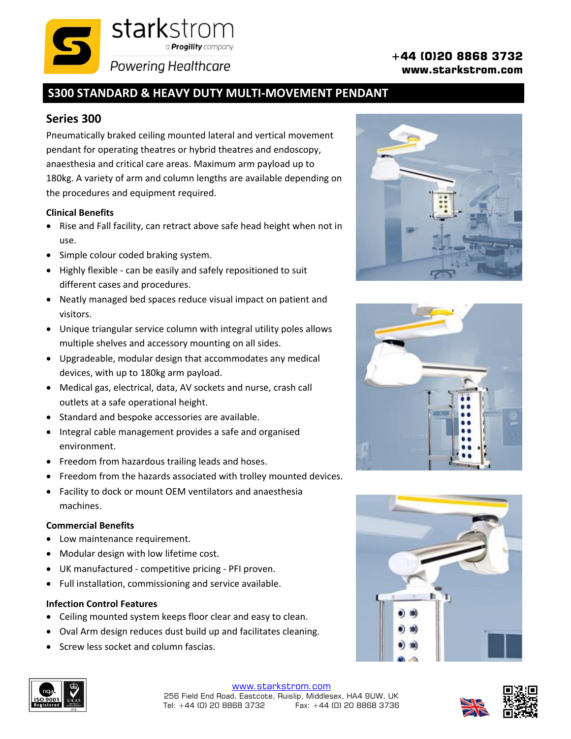# **+44 (0)20 8868 3732**

**www.starkstrom.com**

## **S300 STANDARD & HEAVY DUTY MULTI-MOVEMENT PENDANT**

a **Progility** company

### **Series 300**

Pneumatically braked ceiling mounted lateral and vertical movement pendant for operating theatres or hybrid theatres and endoscopy, anaesthesia and critical care areas. Maximum arm payload up to 180kg. A variety of arm and column lengths are available depending on the procedures and equipment required.

starkstrom

**Powering Healthcare** 

#### **Clinical Benefits**

- Rise and Fall facility, can retract above safe head height when not in use.
- Simple colour coded braking system.
- Highly flexible can be easily and safely repositioned to suit different cases and procedures.
- Neatly managed bed spaces reduce visual impact on patient and visitors.
- Unique triangular service column with integral utility poles allows multiple shelves and accessory mounting on all sides.
- Upgradeable, modular design that accommodates any medical devices, with up to 180kg arm payload.
- Medical gas, electrical, data, AV sockets and nurse, crash call outlets at a safe operational height.
- Standard and bespoke accessories are available.
- Integral cable management provides a safe and organised environment.
- Freedom from hazardous trailing leads and hoses.
- Freedom from the hazards associated with trolley mounted devices.
- Facility to dock or mount OEM ventilators and anaesthesia machines.

#### **Commercial Benefits**

- Low maintenance requirement.
- Modular design with low lifetime cost.
- UK manufactured competitive pricing PFI proven.
- Full installation, commissioning and service available.

#### **Infection Control Features**

- Ceiling mounted system keeps floor clear and easy to clean.
- Oval Arm design reduces dust build up and facilitates cleaning.
- Screw less socket and column fascias.









[www.starkstrom.com](http://www.starkstrom.com/) 256 Field End Road, Eastcote, Ruislip, Middlesex, HA4 9UW, UK Tel: +44 (0) 20 8868 3732 Fax: +44 (0) 20 8868 3736